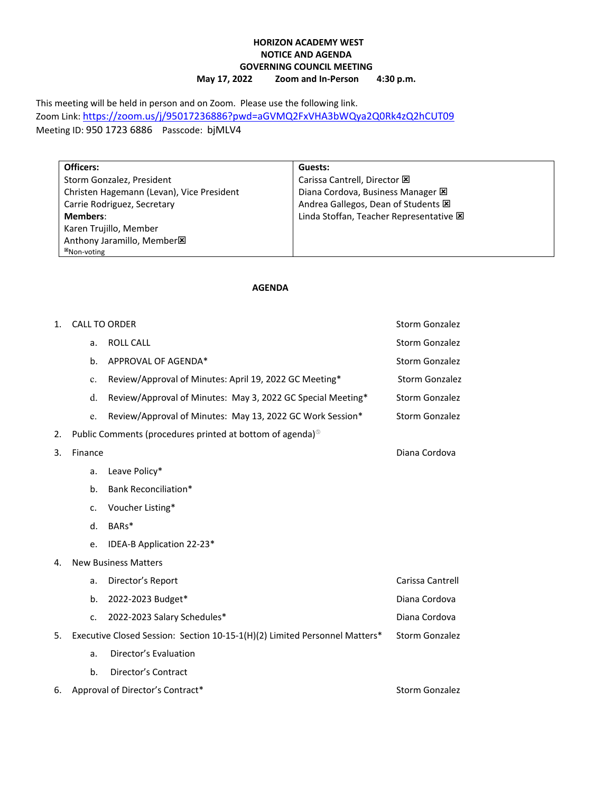### **HORIZON ACADEMY WEST NOTICE AND AGENDA GOVERNING COUNCIL MEETING**<br>May 17, 2022 Zoom and In-Person **May 17, 2022 Zoom and In-Person 4:30 p.m.**

This meeting will be held in person and on Zoom. Please use the following link. Zoom Link[: https://zoom.us/j/95017236886?pwd=aGVMQ2FxVHA3bWQya2Q0Rk4zQ2hCUT09](https://zoom.us/j/95017236886?pwd=aGVMQ2FxVHA3bWQya2Q0Rk4zQ2hCUT09) Meeting ID: 950 1723 6886 Passcode: bjMLV4

**Officers:** Storm Gonzalez, President Christen Hagemann (Levan), Vice President Carrie Rodriguez, Secretary **Members**: Karen Trujillo, Member Anthony Jaramillo, Member<sup>x</sup> Non-voting

# **Guests:**

Carissa Cantrell, Director  $\boxtimes$ Diana Cordova, Business Manager  $\boxtimes$ Andrea Gallegos, Dean of Students Linda Stoffan, Teacher Representative  $\boxtimes$ 

#### **AGENDA**

| 1. | <b>CALL TO ORDER</b>                                                       |                                                                       | <b>Storm Gonzalez</b> |  |
|----|----------------------------------------------------------------------------|-----------------------------------------------------------------------|-----------------------|--|
|    | a.                                                                         | <b>ROLL CALL</b>                                                      | Storm Gonzalez        |  |
|    | b.                                                                         | APPROVAL OF AGENDA*                                                   | <b>Storm Gonzalez</b> |  |
|    | c.                                                                         | Review/Approval of Minutes: April 19, 2022 GC Meeting*                | <b>Storm Gonzalez</b> |  |
|    | d.                                                                         | Review/Approval of Minutes: May 3, 2022 GC Special Meeting*           | Storm Gonzalez        |  |
|    | e.                                                                         | Review/Approval of Minutes: May 13, 2022 GC Work Session*             | Storm Gonzalez        |  |
| 2. |                                                                            | Public Comments (procedures printed at bottom of agenda) <sup>®</sup> |                       |  |
| 3. | Finance                                                                    |                                                                       | Diana Cordova         |  |
|    | a.                                                                         | Leave Policy*                                                         |                       |  |
|    | b.                                                                         | Bank Reconciliation*                                                  |                       |  |
|    | c.                                                                         | Voucher Listing*                                                      |                       |  |
|    | d.                                                                         | BARs*                                                                 |                       |  |
|    | e.                                                                         | IDEA-B Application 22-23*                                             |                       |  |
| 4. | <b>New Business Matters</b>                                                |                                                                       |                       |  |
|    | a.                                                                         | Director's Report                                                     | Carissa Cantrell      |  |
|    | b.                                                                         | 2022-2023 Budget*                                                     | Diana Cordova         |  |
|    | c.                                                                         | 2022-2023 Salary Schedules*                                           | Diana Cordova         |  |
| 5. | Executive Closed Session: Section 10-15-1(H)(2) Limited Personnel Matters* |                                                                       | Storm Gonzalez        |  |
|    | a.                                                                         | Director's Evaluation                                                 |                       |  |
|    | b.                                                                         | Director's Contract                                                   |                       |  |
| 6. | Approval of Director's Contract*                                           |                                                                       | <b>Storm Gonzalez</b> |  |